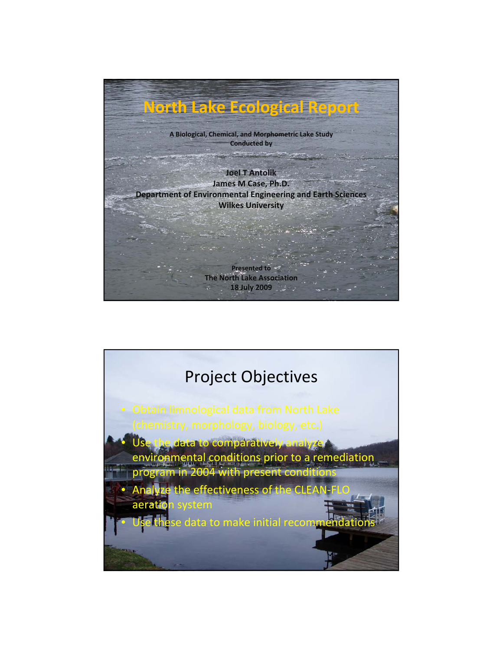

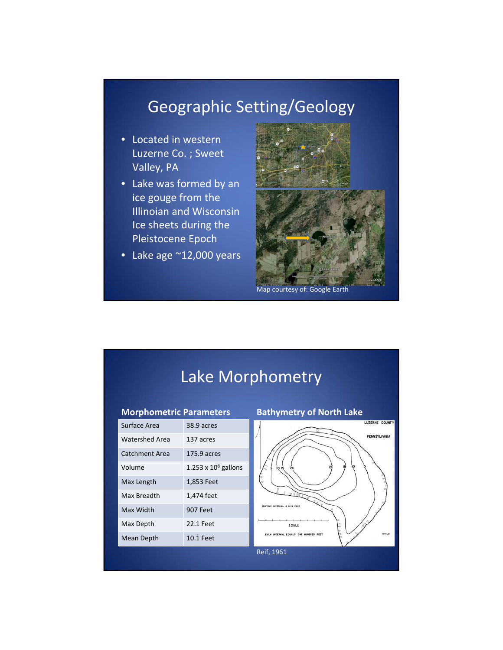## Geographic Setting/Geology

- Located in western Luzerne Co. ; Sweet Valley, PA
- Lake was formed by an ice gouge from the Illinoian and Wisconsin Ice sheets during the Pleistocene Epoch
- Lake age ~12,000 years



Map courtesy of: Google Earth

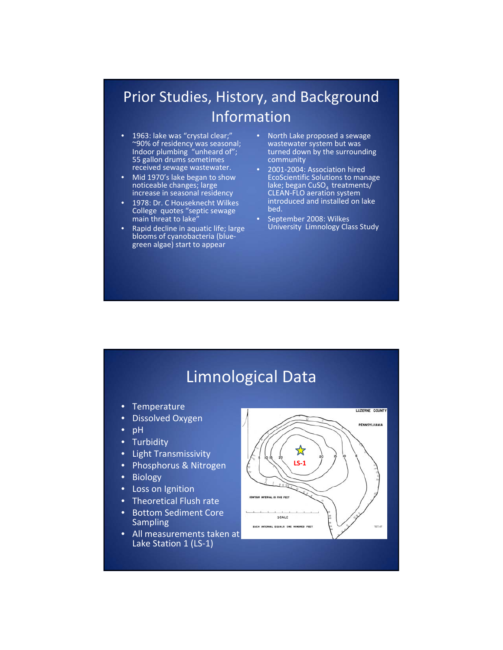### Prior Studies, History, and Background Information

- 1963: lake was "crystal clear;" ~90% of residency was seasonal; Indoor plumbing "unheard of"; 55 gallon drums sometimes received sewage wastewater.
- Mid 1970's lake began to show noticeable changes; large increase in seasonal residency
- 1978: Dr. C Houseknecht Wilkes College quotes "septic sewage main threat to lake"
- Rapid decline in aquatic life; large blooms of cyanobacteria (blue‐ green algae) start to appear
- North Lake proposed a sewage wastewater system but was turned down by the surrounding community
- 2001-2004: Association hired EcoScientific Solutions to manage lake; began CuSO<sub>4</sub> treatments/<br>CLEAN-FLO aeration system introduced and installed on lake bed.
- September 2008: Wilkes University Limnology Class Study

### Limnological Data

- **Temperature**
- Dissolved Oxygen
- pH
- **Turbidity**
- Light Transmissivity
- Phosphorus & Nitrogen
- Biology
- **Loss on Ignition**
- Theoretical Flush rate
- Bottom Sediment Core Sampling
- All measurements taken at Lake Station 1 (LS‐1)

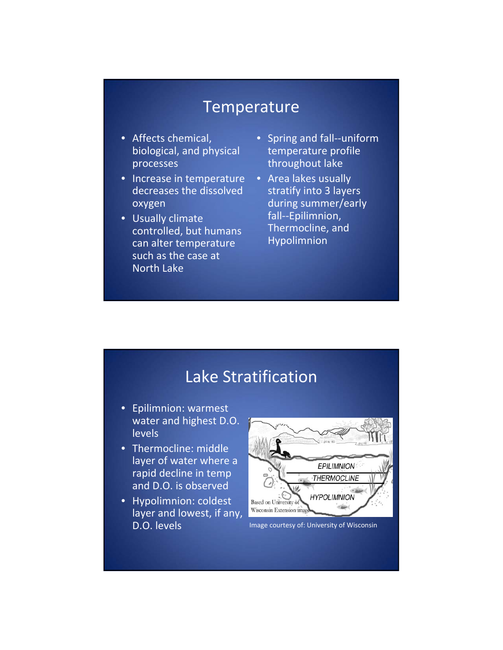#### Temperature

- Affects chemical, biological, and physical processes
- Increase in temperature decreases the dissolved oxygen
- Usually climate controlled, but humans can alter temperature such as the case at North Lake
- Spring and fall--uniform temperature profile throughout lake
- Area lakes usually stratify into 3 layers during summer/early fall‐‐Epilimnion, Thermocline, and Hypolimnion

#### Lake Stratification

- Epilimnion: warmest water and highest D.O. levels
- Thermocline: middle layer of water where a rapid decline in temp and D.O. is observed
- Hypolimnion: coldest layer and lowest, if any, D.O. levels **Image courtesy of: University of Wisconsin**

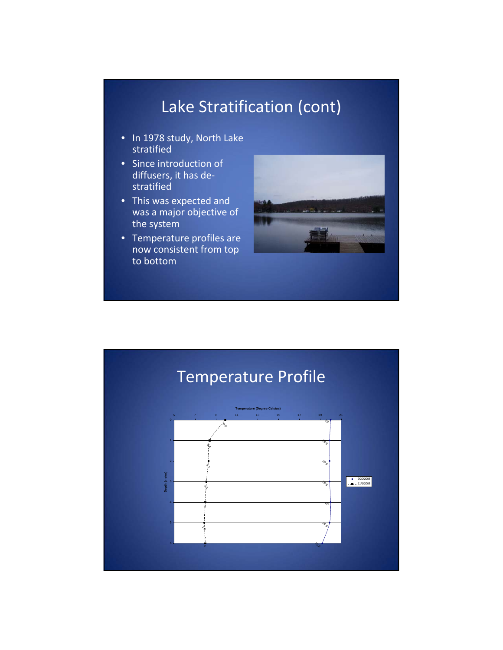# Lake Stratification (cont)

- In 1978 study, North Lake stratified
- Since introduction of diffusers, it has de‐ stratified
- This was expected and was a major objective of the system
- Temperature profiles are now consistent from top to bottom



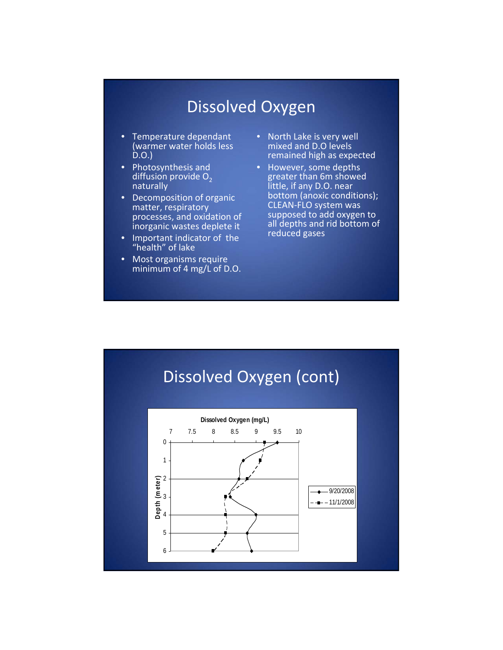## Dissolved Oxygen

- Temperature dependant (warmer water holds less D.O.)
- Photosynthesis and diffusion provide  $O<sub>2</sub>$ naturally
- Decomposition of organic matter, respiratory processes, and oxidation of inorganic wastes deplete it
- Important indicator of the "health" of lake
- Most organisms require minimum of 4 mg/L of D.O.
- North Lake is very well mixed and D.O levels remained high as expected
- However, some depths greater than 6m showed little, if any D.O. near bottom (anoxic conditions); CLEAN‐FLO system was supposed to add oxygen to all depths and rid bottom of reduced gases

# Dissolved Oxygen (cont)

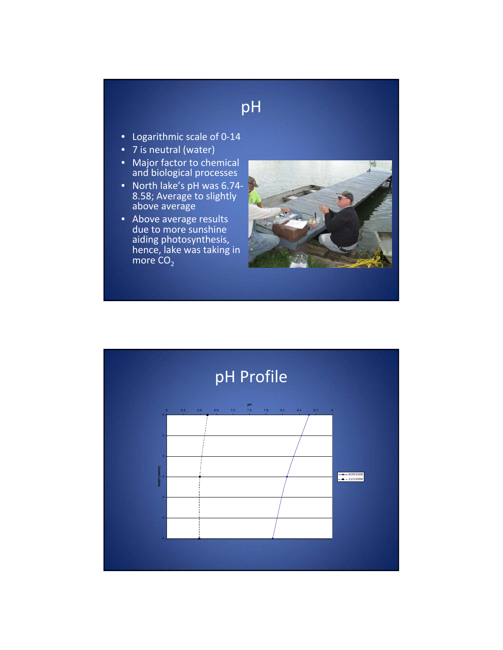## pH

- Logarithmic scale of 0‐14
- 7 is neutral (water)
- Major factor to chemical and biological processes
- North lake's pH was 6.74-<br>8.58; Average to slightly above average
- Above average results due to more sunshine aiding photosynthesis, hence, lake was taking in more CO $_2$



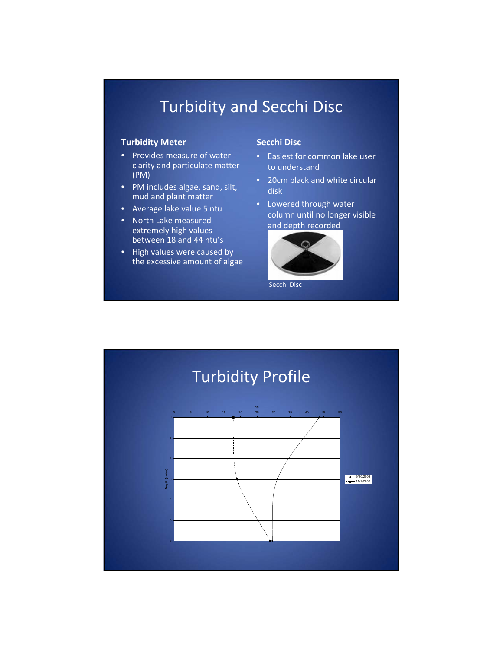## Turbidity and Secchi Disc

#### **Turbidity Meter**

- Provides measure of water clarity and particulate matter (PM)
- PM includes algae, sand, silt, mud and plant matter
- Average lake value 5 ntu
- North Lake measured extremely high values between 18 and 44 ntu's
- High values were caused by the excessive amount of algae

#### **Secchi Disc**

- Easiest for common lake user to understand
- 20cm black and white circular disk
- Lowered through water column until no longer visible and depth recorded



Secchi Disc

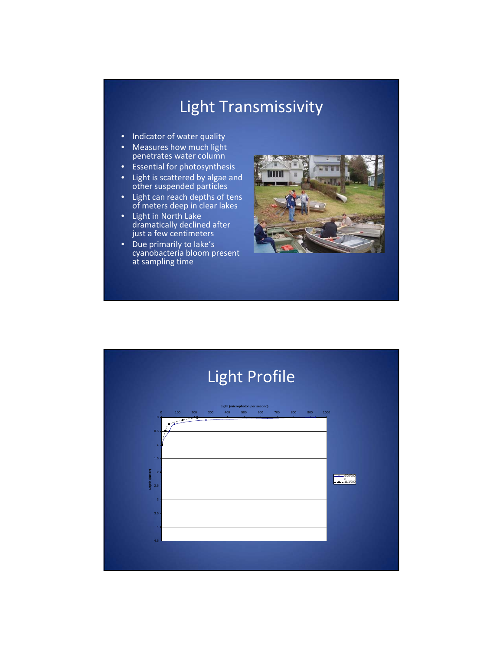# Light Transmissivity

- Indicator of water quality
- Measures how much light penetrates water column
- Essential for photosynthesis
- Light is scattered by algae and other suspended particles
- Light can reach depths of tens of meters deep in clear lakes
- Light in North Lake dramatically declined after just a few centimeters
- Due primarily to lake's cyanobacteria bloom present at sampling time



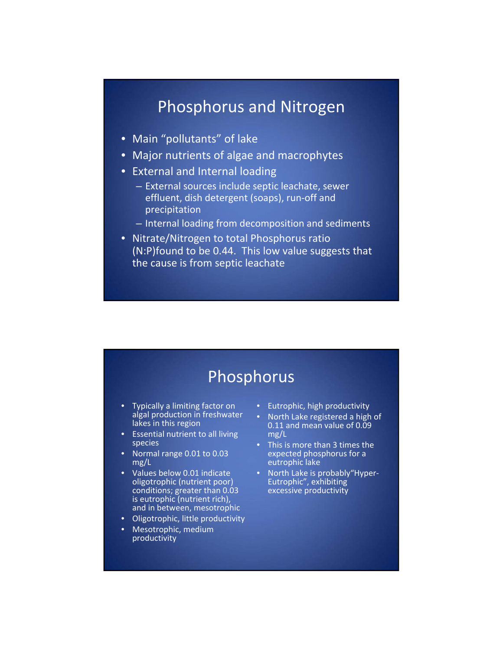### Phosphorus and Nitrogen

- Main "pollutants" of lake
- Major nutrients of algae and macrophytes
- External and Internal loading
	- External sources include septic leachate, sewer effluent, dish detergent (soaps), run‐off and precipitation
	- Internal loading from decomposition and sediments
- Nitrate/Nitrogen to total Phosphorus ratio (N:P)found to be 0.44. This low value suggests that the cause is from septic leachate

## **Phosphorus**

- Typically a limiting factor on algal production in freshwater lakes in this region
- Essential nutrient to all living species
- Normal range 0.01 to 0.03 mg/L
- Values below 0.01 indicate oligotrophic (nutrient poor) conditions; greater than 0.03 is eutrophic (nutrient rich), and in between, mesotrophic
- Oligotrophic, little productivity
- Mesotrophic, medium productivity
- Eutrophic, high productivity
- North Lake registered a high of 0.11 and mean value of 0.09 mg/L
- This is more than 3 times the expected phosphorus for a eutrophic lake
- North Lake is probably"Hyper-<br>Eutrophic", exhibiting excessive productivity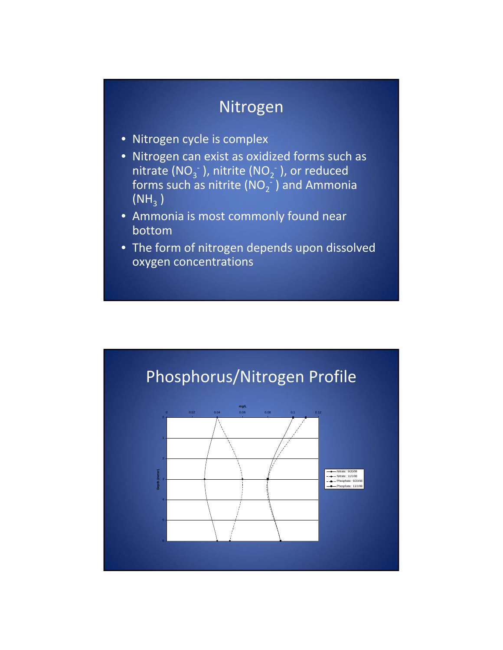## Nitrogen

- Nitrogen cycle is complex
- Nitrogen can exist as oxidized forms such as nitrate (NO<sub>3</sub> $^{\circ}$  ), nitrite (NO<sub>2</sub> $^{\circ}$  ), or reduced forms such as nitrite (NO<sub>2</sub><sup>-</sup>) and Ammonia  $(NH_3)$
- Ammonia is most commonly found near bottom
- The form of nitrogen depends upon dissolved oxygen concentrations

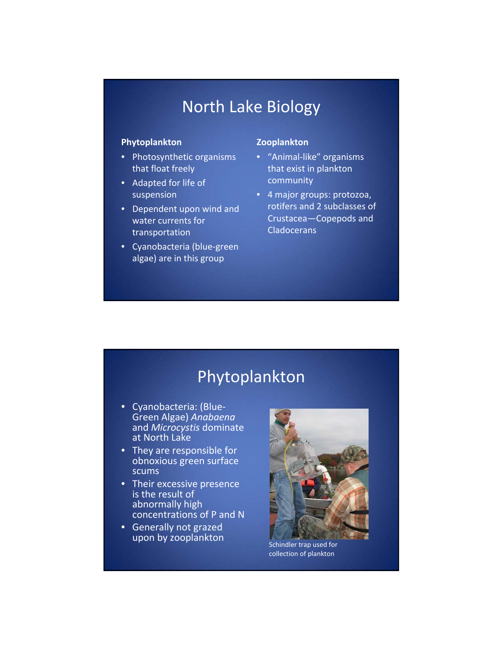## North Lake Biology

#### **Phytoplankton**

- Photosynthetic organisms that float freely
- Adapted for life of suspension
- Dependent upon wind and water currents for transportation
- Cyanobacteria (blue‐green algae) are in this group

#### **Zooplankton**

- "Animal‐like" organisms that exist in plankton community
- 4 major groups: protozoa, rotifers and 2 subclasses of Crustacea—Copepods and **Cladocerans**

## Phytoplankton

- Cyanobacteria: (Blue‐ Green Algae) *Anabaena* and *Microcystis* dominate at North Lake
- They are responsible for obnoxious green surface scums
- Their excessive presence is the result of abnormally high concentrations of P and N
- Generally not grazed upon by zooplankton<br>Schindler trap used for



collection of plankton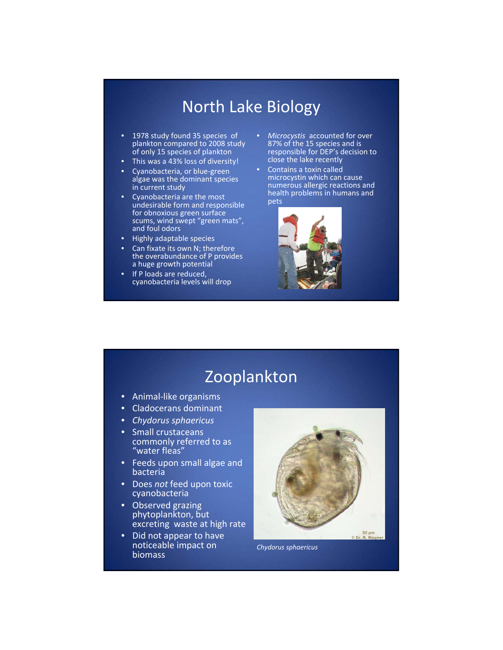### North Lake Biology

- 1978 study found 35 species of plankton compared to 2008 study of only 15 species of plankton
- This was a 43% loss of diversity!
- Cyanobacteria, or blue‐green algae was the dominant species in current study
- Cyanobacteria are the most undesirable form and responsible for obnoxious green surface scums, wind swept "green mats", and foul odors
- Highly adaptable species
- Can fixate its own N; therefore the overabundance of P provides a huge growth potential
- If P loads are reduced, cyanobacteria levels will drop
- *Microcystis* accounted for over 87% of the 15 species and is responsible for DEP's decision to close the lake recently
- Contains a toxin called microcystin which can cause numerous allergic reactions and health problems in humans and pets



## Zooplankton

- Animal‐like organisms
- Cladocerans dominant
- *Chydorus sphaericus*
- Small crustaceans commonly referred to as "water fleas"
- Feeds upon small algae and bacteria
- Does *not* feed upon toxic cyanobacteria
- Observed grazing phytoplankton, but excreting waste at high rate
- Did not appear to have noticeable impact on biomass



*Chydorus sphaericus*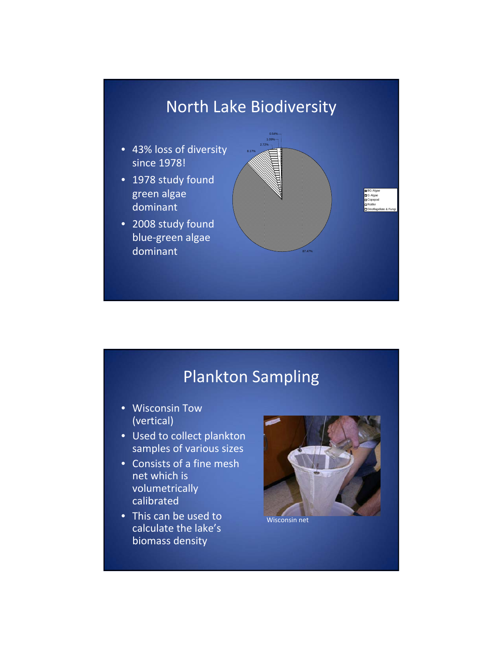

## Plankton Sampling

- Wisconsin Tow (vertical)
- Used to collect plankton samples of various sizes
- Consists of a fine mesh net which is volumetrically calibrated
- This can be used to calculate the lake's biomass density



Wisconsin net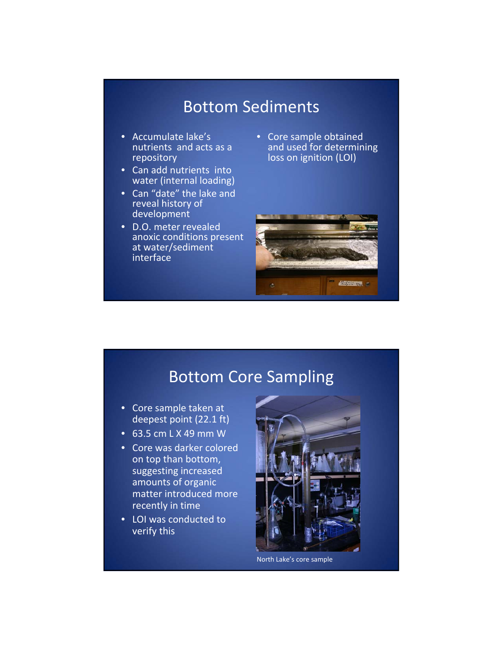## Bottom Sediments

- Accumulate lake's nutrients and acts as a repository
- Can add nutrients into water (internal loading)
- Can "date" the lake and reveal history of development
- D.O. meter revealed anoxic conditions present at water/sediment interface
- Core sample obtained and used for determining loss on ignition (LOI)



### Bottom Core Sampling

- Core sample taken at deepest point (22.1 ft)
- 63.5 cm L X 49 mm W
- Core was darker colored on top than bottom, suggesting increased amounts of organic matter introduced more recently in time
- LOI was conducted to verify this



North Lake's core sample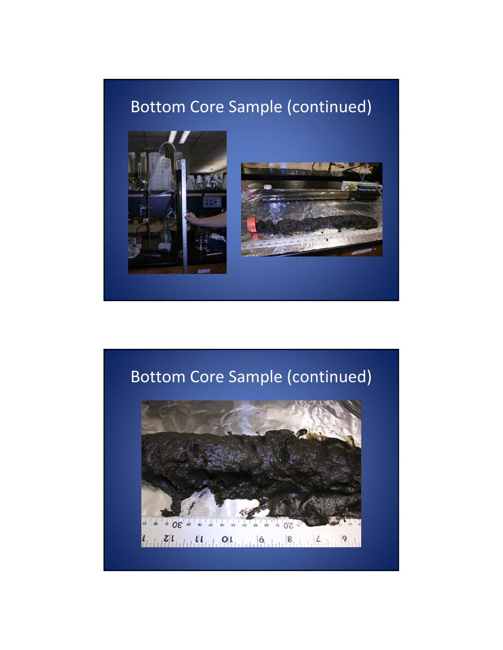# Bottom Core Sample (continued)



# Bottom Core Sample (continued)

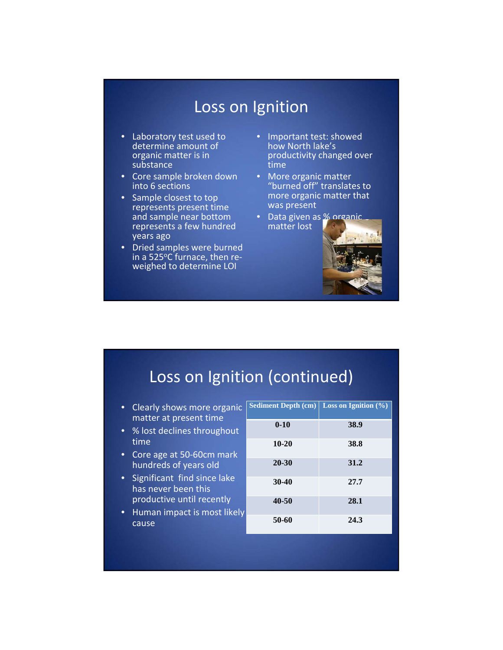### Loss on Ignition

- Laboratory test used to determine amount of organic matter is in substance
- Core sample broken down into 6 sections
- Sample closest to top represents present time and sample near bottom represents a few hundred years ago
- Dried samples were burned in a 525°C furnace, then re-<br>weighed to determine LOI
- Important test: showed how North lake's productivity changed over time
- More organic matter "burned off" translates to more organic matter that was present
- Data given as % organic matter lost



## Loss on Ignition (continued)

- Clearly shows more organic matter at present time
- % lost declines throughout time
- Core age at 50-60cm mark hundreds of years old
- Significant find since lake has never been this productive until recently
- Human impact is most likely cause

| Sediment Depth $(cm)$ Loss on Ignition $(\% )$ |      |
|------------------------------------------------|------|
| $0 - 10$                                       | 38.9 |
| $10 - 20$                                      | 38.8 |
| 20-30                                          | 31.2 |
| $30-40$                                        | 27.7 |
| 40-50                                          | 28.1 |
| 50-60                                          | 24.3 |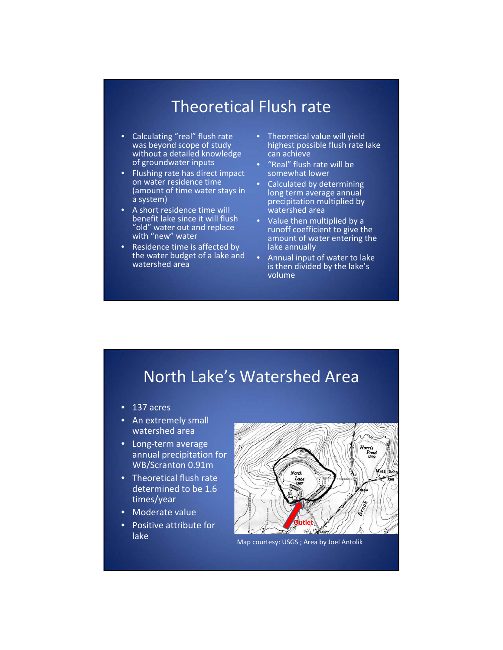## Theoretical Flush rate

- Calculating "real" flush rate was beyond scope of study without a detailed knowledge of groundwater inputs
- Flushing rate has direct impact on water residence time (amount of time water stays in a system)
- A short residence time will benefit lake since it will flush "old" water out and replace with "new" water
- Residence time is affected by the water budget of a lake and watershed area
- Theoretical value will yield highest possible flush rate lake can achieve
- "Real" flush rate will be somewhat lower
- Calculated by determining long term average annual precipitation multiplied by watershed area
- Value then multiplied by a runoff coefficient to give the amount of water entering the lake annually
- Annual input of water to lake is then divided by the lake's volume

### North Lake's Watershed Area

- 137 acres
- An extremely small watershed area
- Long‐term average annual precipitation for WB/Scranton 0.91m
- Theoretical flush rate determined to be 1.6 times/year
- Moderate value
- Positive attribute for lake



Map courtesy: USGS ; Area by Joel Antolik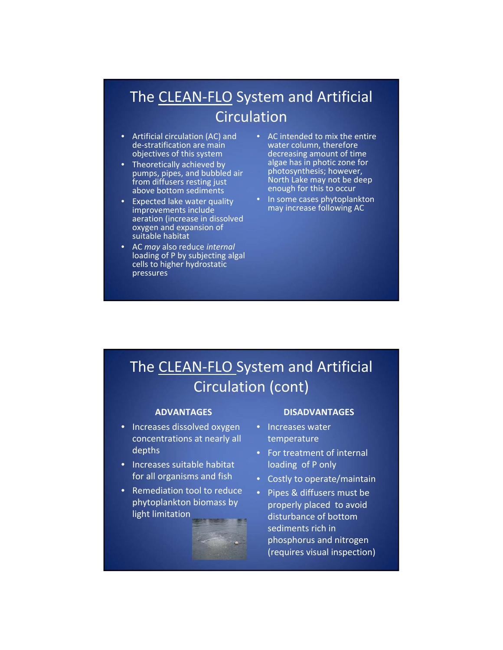## The CLEAN‐FLO System and Artificial **Circulation**

- Artificial circulation (AC) and de‐stratification are main objectives of this system
- Theoretically achieved by pumps, pipes, and bubbled air from diffusers resting just above bottom sediments
- Expected lake water quality improvements include aeration (increase in dissolved oxygen and expansion of suitable habitat
- AC *may* also reduce *internal* loading of P by subjecting algal cells to higher hydrostatic pressures
- AC intended to mix the entire water column, therefore decreasing amount of time algae has in photic zone for photosynthesis; however, North Lake may not be deep enough for this to occur
- In some cases phytoplankton may increase following AC

## The CLEAN‐FLO System and Artificial Circulation (cont)

#### **ADVANTAGES**

- Increases dissolved oxygen concentrations at nearly all depths
- Increases suitable habitat for all organisms and fish
- Remediation tool to reduce phytoplankton biomass by light limitation



#### **DISADVANTAGES**

- Increases water temperature
- For treatment of internal loading of P only
- Costly to operate/maintain
- Pipes & diffusers must be properly placed to avoid disturbance of bottom sediments rich in phosphorus and nitrogen (requires visual inspection)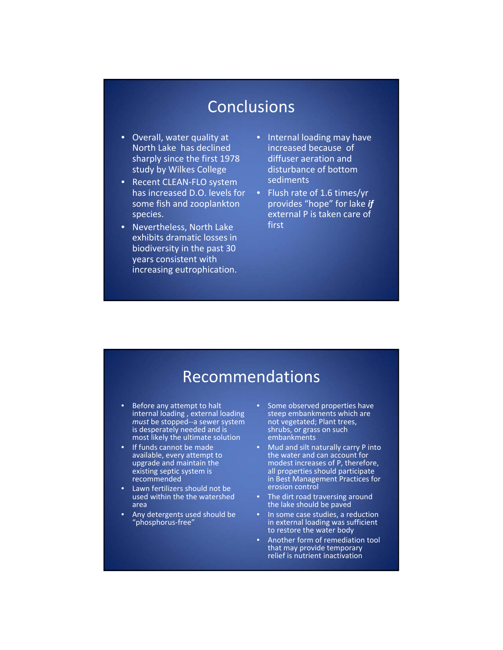## **Conclusions**

- Overall, water quality at North Lake has declined sharply since the first 1978 study by Wilkes College
- Recent CLEAN‐FLO system has increased D.O. levels for some fish and zooplankton species.
- Nevertheless, North Lake exhibits dramatic losses in biodiversity in the past 30 years consistent with increasing eutrophication.
- Internal loading may have increased because of diffuser aeration and disturbance of bottom sediments
- Flush rate of 1.6 times/yr provides "hope" for lake *if* external P is taken care of first

### Recommendations

- Before any attempt to halt internal loading , external loading *must* be stopped‐‐a sewer system is desperately needed and is most likely the ultimate solution
- If funds cannot be made available, every attempt to upgrade and maintain the existing septic system is recommended
- Lawn fertilizers should not be used within the the watershed area
- Any detergents used should be "phosphorus‐free"
- Some observed properties have steep embankments which are not vegetated; Plant trees, shrubs, or grass on such embankments
- Mud and silt naturally carry P into the water and can account for modest increases of P, therefore, all properties should participate in Best Management Practices for erosion control
- The dirt road traversing around the lake should be paved
- In some case studies, a reduction in external loading was sufficient to restore the water body
- Another form of remediation tool that may provide temporary relief is nutrient inactivation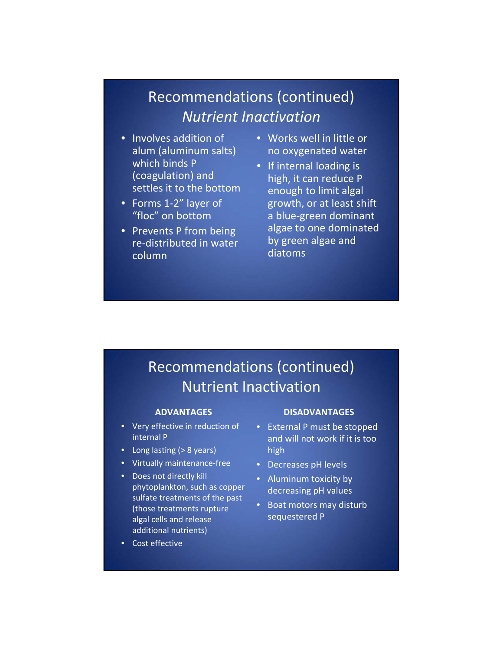#### Recommendations (continued) *Nutrient Inactivation*

- Involves addition of alum (aluminum salts) which binds P (coagulation) and settles it to the bottom
- Forms 1‐2" layer of "floc" on bottom
- Prevents P from being re‐distributed in water column
- Works well in little or no oxygenated water
- If internal loading is high, it can reduce P enough to limit algal growth, or at least shift a blue‐green dominant algae to one dominated by green algae and diatoms

### Recommendations (continued) Nutrient Inactivation

#### **ADVANTAGES**

- Very effective in reduction of internal P
- Long lasting (> 8 years)
- Virtually maintenance‐free
- Does not directly kill phytoplankton, such as copper sulfate treatments of the past (those treatments rupture algal cells and release additional nutrients)
- Cost effective

#### **DISADVANTAGES**

- External P must be stopped and will not work if it is too high
- Decreases pH levels
- Aluminum toxicity by decreasing pH values
- Boat motors may disturb sequestered P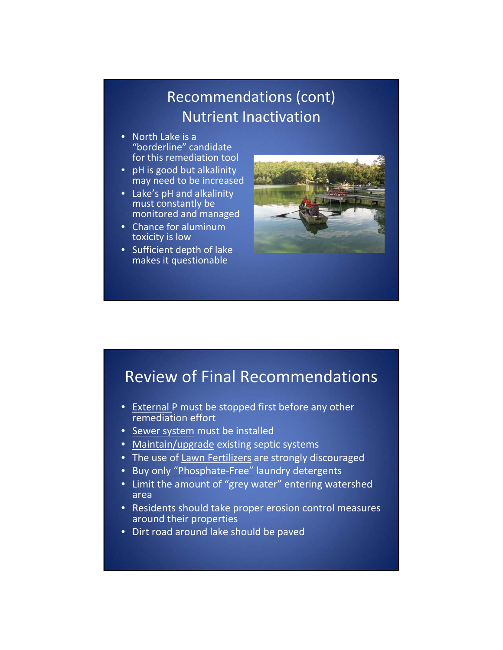### Recommendations (cont) Nutrient Inactivation

- North Lake is a "borderline" candidate for this remediation tool
- pH is good but alkalinity may need to be increased
- Lake's pH and alkalinity must constantly be monitored and managed
- Chance for aluminum toxicity is low
- Sufficient depth of lake makes it questionable



## Review of Final Recommendations

- **•** External P must be stopped first before any other remediation effort
- Sewer system must be installed
- Maintain/upgrade existing septic systems
- The use of Lawn Fertilizers are strongly discouraged
- Buy only "Phosphate‐Free" laundry detergents
- Limit the amount of "grey water" entering watershed area
- Residents should take proper erosion control measures around their properties
- Dirt road around lake should be paved